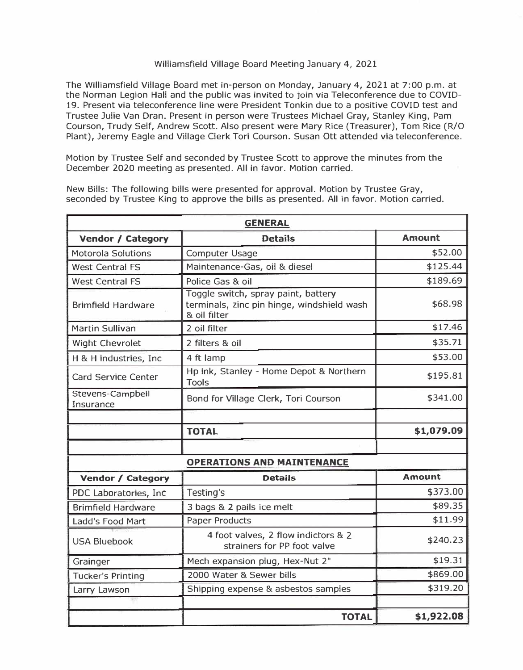## Williamsfield Village Board Meeting January 4, 2021

The Williamsfield Village Board met in-person on Monday, January 4, 2021 at 7:00 p.m. at the Norman Legion Hall and the public was invited to join via Teleconference due to COVID-19. Present via teleconference line were President Tonkin due to a positive COVID test and Trustee Julie Van Oran. Present in person were Trustees Michael Gray, Stanley King, Pam Courson, Trudy Self, Andrew Scott. Also present were Mary Rice (Treasurer), Tom Rice (R/0 Plant), Jeremy Eagle and Village Clerk Tori Courson. Susan Ott attended via teleconference.

Motion by Trustee Self and seconded by Trustee Scott to approve the minutes from the December 2020 meeting as presented. All in favor. Motion carried.

| <b>GENERAL</b>                    |                                                                                                   |               |  |
|-----------------------------------|---------------------------------------------------------------------------------------------------|---------------|--|
| <b>Vendor / Category</b>          | <b>Details</b>                                                                                    | <b>Amount</b> |  |
| <b>Motorola Solutions</b>         | Computer Usage                                                                                    | \$52.00       |  |
| <b>West Central FS</b>            | Maintenance-Gas, oil & diesel                                                                     | \$125.44      |  |
| <b>West Central FS</b>            | Police Gas & oil                                                                                  | \$189.69      |  |
| <b>Brimfield Hardware</b>         | Toggle switch, spray paint, battery<br>terminals, zinc pin hinge, windshield wash<br>& oil filter | \$68.98       |  |
| <b>Martin Sullivan</b>            | 2 oil filter                                                                                      | \$17.46       |  |
| <b>Wight Chevrolet</b>            | 2 filters & oil                                                                                   | \$35.71       |  |
| H & H industries, Inc             | 4 ft lamp                                                                                         | \$53.00       |  |
| <b>Card Service Center</b>        | Hp ink, Stanley - Home Depot & Northern<br><b>Tools</b>                                           | \$195.81      |  |
| Stevens-Campbell<br>Insurance     | Bond for Village Clerk, Tori Courson                                                              | \$341.00      |  |
|                                   |                                                                                                   |               |  |
|                                   | <b>TOTAL</b>                                                                                      | \$1,079.09    |  |
|                                   |                                                                                                   |               |  |
| <b>OPERATIONS AND MAINTENANCE</b> |                                                                                                   |               |  |
| <b>Vendor / Category</b>          | <b>Details</b>                                                                                    | <b>Amount</b> |  |
| PDC Laboratories, Inc.            | Testing's                                                                                         | \$373.00      |  |
| <b>Brimfield Hardware</b>         | 3 bags & 2 pails ice melt                                                                         | \$89.35       |  |
| Ladd's Food Mart                  | Paper Products                                                                                    | \$11.99       |  |
| <b>USA Bluebook</b>               | 4 foot valves, 2 flow indictors & 2<br>strainers for PP foot valve                                | \$240.23      |  |
| Grainger                          | Mech expansion plug, Hex-Nut 2"                                                                   | \$19.31       |  |
| <b>Tucker's Printing</b>          | 2000 Water & Sewer bills                                                                          | \$869.00      |  |
| Larry Lawson                      | Shipping expense & asbestos samples                                                               | \$319.20      |  |
|                                   |                                                                                                   |               |  |
|                                   | <b>TOTAL</b>                                                                                      | \$1,922.08    |  |

New Bills: The following bills were presented for approval. Motion by Trustee Gray, seconded by Trustee King to approve the bills as presented. All in favor. Motion carried.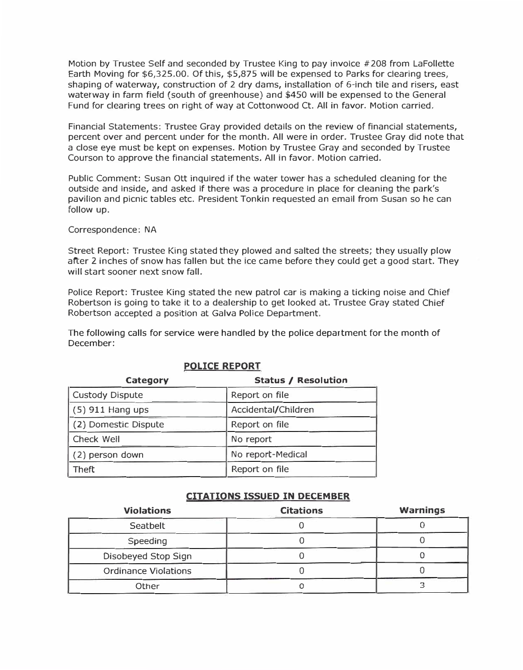Motion by Trustee Self and seconded by Trustee King to pay invoice #208 from Lafollette Earth Moving for \$[6,325.00](https://6,325.00). Of this, \$5,875 will be expensed to Parks for clearing trees, shaping of waterway, construction of 2 dry dams, installation of 6-inch tile and risers, east waterway in farm field (south of greenhouse) and \$450 will be expensed to the General Fund for clearing trees on right of way at Cottonwood Ct. All in favor. Motion carried.

Financial Statements: Trustee Gray provided details on the review of financial statements, percent over and percent under for the month. All were in order. Trustee Gray did note that a close eye must be kept on expenses. Motion by Trustee Gray and seconded by Trustee Courson to approve the financial statements. All in favor. Motion carried.

Public Comment: Susan Ott inquired if the water tower has a scheduled cleaning for the outside and inside, and asked if there was a procedure in place for cleaning the park's pavilion and picnic tables etc. President Tonkin requested an email from Susan so he can follow up.

Correspondence: NA

Street Report: Trustee King stated they plowed and salted the streets; they usually plow after 2 inches of snow has fallen but the ice came before they could get a good start. They will start sooner next snow fall.

Police Report: Trustee King stated the new patrol car is making a ticking noise and Chief Robertson is going to take it to a dealership to get looked at. Trustee Gray stated Chief Robertson accepted a position at Galva Police Department.

The following calls for service were handled by the police department for the month of December:

| Status / Resolution |  |
|---------------------|--|
| Report on file      |  |
| Accidental/Children |  |
| Report on file      |  |
| No report           |  |
| No report-Medical   |  |
| Report on file      |  |
|                     |  |

## **POLICE REPORT**

## **CITATIONS ISSUED IN DECEMBER**

| <b>Violations</b>           | <b>Citations</b> | Warnings |
|-----------------------------|------------------|----------|
| Seatbelt                    |                  |          |
| Speeding                    |                  |          |
| Disobeyed Stop Sign         |                  |          |
| <b>Ordinance Violations</b> |                  |          |
| Other                       |                  |          |